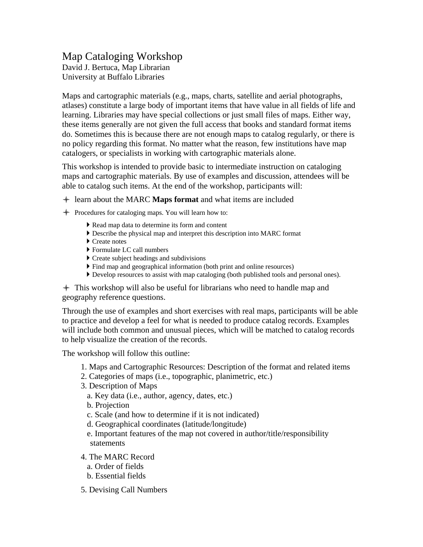## Map Cataloging Workshop David J. Bertuca, Map Librarian University at Buffalo Libraries

Maps and cartographic materials (e.g., maps, charts, satellite and aerial photographs, atlases) constitute a large body of important items that have value in all fields of life and learning. Libraries may have special collections or just small files of maps. Either way, these items generally are not given the full access that books and standard format items do. Sometimes this is because there are not enough maps to catalog regularly, or there is no policy regarding this format. No matter what the reason, few institutions have map catalogers, or specialists in working with cartographic materials alone.

This workshop is intended to provide basic to intermediate instruction on cataloging maps and cartographic materials. By use of examples and discussion, attendees will be able to catalog such items. At the end of the workshop, participants will:

- + learn about the MARC **Maps format** and what items are included
- ← Procedures for cataloging maps. You will learn how to:
	- Read map data to determine its form and content
	- Describe the physical map and interpret this description into MARC format
	- Create notes
	- Formulate LC call numbers
	- Create subject headings and subdivisions
	- Find map and geographical information (both print and online resources)
	- Develop resources to assist with map cataloging (both published tools and personal ones).

 $+$  This workshop will also be useful for librarians who need to handle map and geography reference questions.

Through the use of examples and short exercises with real maps, participants will be able to practice and develop a feel for what is needed to produce catalog records. Examples will include both common and unusual pieces, which will be matched to catalog records to help visualize the creation of the records.

The workshop will follow this outline:

- 1. Maps and Cartographic Resources: Description of the format and related items
- 2. Categories of maps (i.e., topographic, planimetric, etc.)
- 3. Description of Maps
	- a. Key data (i.e., author, agency, dates, etc.)
	- b. Projection
	- c. Scale (and how to determine if it is not indicated)
	- d. Geographical coordinates (latitude/longitude)
	- e. Important features of the map not covered in author/title/responsibility statements
- 4. The MARC Record
	- a. Order of fields
	- b. Essential fields
- 5. Devising Call Numbers